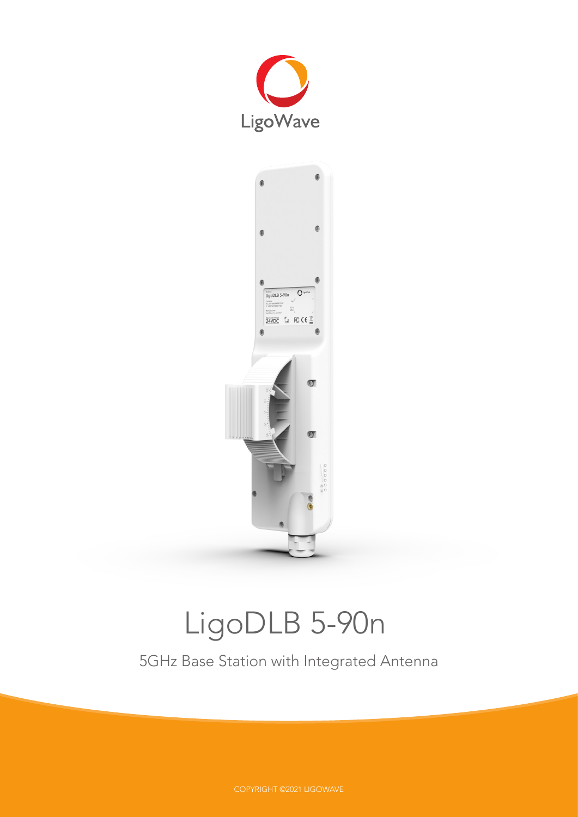



# LigoDLB 5-90n

5GHz Base Station with Integrated Antenna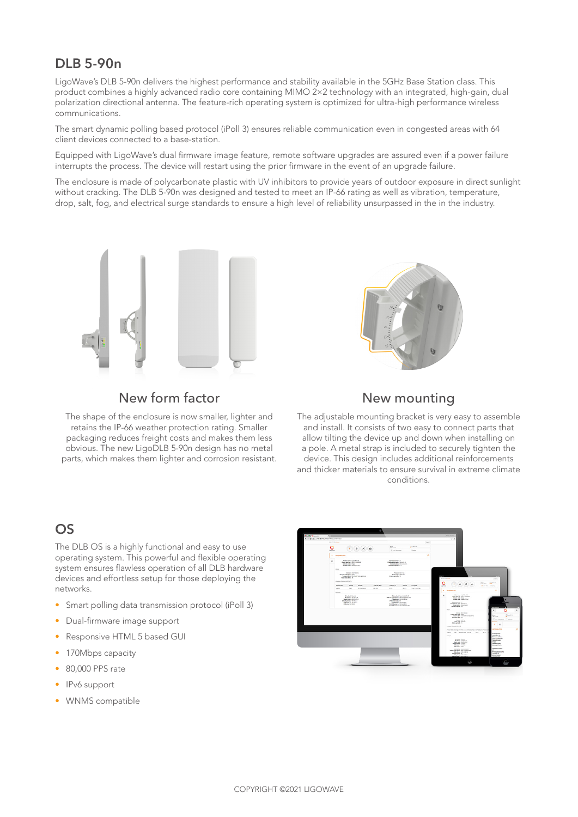## **DLB 5-90n**

LigoWave's DLB 5-90n delivers the highest performance and stability available in the 5GHz Base Station class. This product combines a highly advanced radio core containing MIMO 2×2 technology with an integrated, high-gain, dual polarization directional antenna. The feature-rich operating system is optimized for ultra-high performance wireless communications.

The smart dynamic polling based protocol (iPoll 3) ensures reliable communication even in congested areas with 64 client devices connected to a base-station.

Equipped with LigoWave's dual firmware image feature, remote software upgrades are assured even if a power failure interrupts the process. The device will restart using the prior firmware in the event of an upgrade failure.

The enclosure is made of polycarbonate plastic with UV inhibitors to provide years of outdoor exposure in direct sunlight without cracking. The DLB 5-90n was designed and tested to meet an IP-66 rating as well as vibration, temperature, drop, salt, fog, and electrical surge standards to ensure a high level of reliability unsurpassed in the in the industry.



## New form factor

The shape of the enclosure is now smaller, lighter and retains the IP-66 weather protection rating. Smaller packaging reduces freight costs and makes them less obvious. The new LigoDLB 5-90n design has no metal parts, which makes them lighter and corrosion resistant.



## New mounting

The adjustable mounting bracket is very easy to assemble and install. It consists of two easy to connect parts that allow tilting the device up and down when installing on a pole. A metal strap is included to securely tighten the device. This design includes additional reinforcements and thicker materials to ensure survival in extreme climate conditions.

## **OS**

The DLB OS is a highly functional and easy to use operating system. This powerful and flexible operating system ensures flawless operation of all DLB hardware devices and effortless setup for those deploying the networks.

- Smart polling data transmission protocol (iPoll 3)
- Dual-firmware image support
- Responsive HTML 5 based GUI
- 170Mbps capacity
- 80,000 PPS rate
- IPv6 support
- WNMS compatible

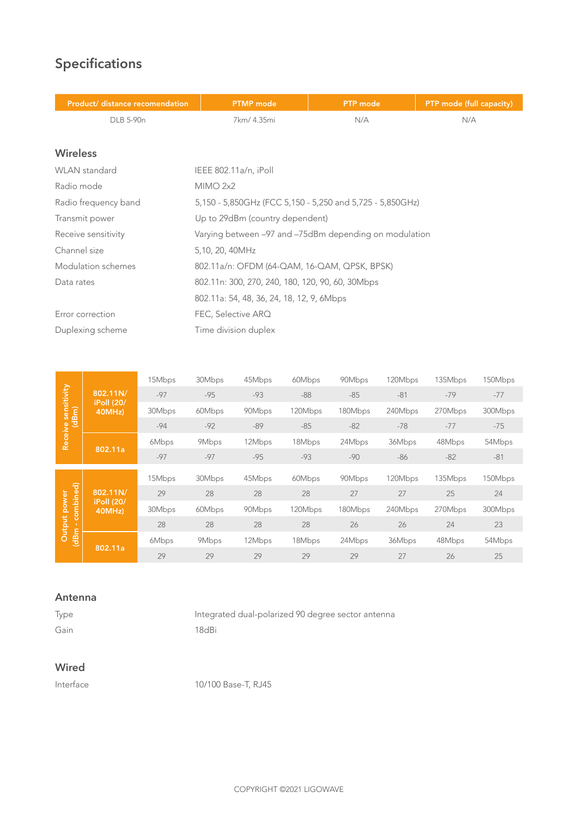# **Specifications**

and the company of the company of

| Product/ distance recomendation | <b>PTMP</b> mode                                          | <b>PTP</b> mode | PTP mode (full capacity) |  |
|---------------------------------|-----------------------------------------------------------|-----------------|--------------------------|--|
| DLB 5-90n                       | 7km/ 4.35mi<br>N/A                                        |                 | N/A                      |  |
|                                 |                                                           |                 |                          |  |
| <b>Wireless</b>                 |                                                           |                 |                          |  |
| <b>WLAN</b> standard            | IEEE 802.11a/n, iPoll                                     |                 |                          |  |
| Radio mode                      | MIMO 2x2                                                  |                 |                          |  |
| Radio frequency band            | 5,150 - 5,850GHz (FCC 5,150 - 5,250 and 5,725 - 5,850GHz) |                 |                          |  |
| Transmit power                  | Up to 29dBm (country dependent)                           |                 |                          |  |
| Receive sensitivity             | Varying between -97 and -75dBm depending on modulation    |                 |                          |  |
| Channel size                    | 5,10, 20, 40MHz                                           |                 |                          |  |
| Modulation schemes              | 802.11a/n: OFDM (64-QAM, 16-QAM, QPSK, BPSK)              |                 |                          |  |
| Data rates                      | 802.11n: 300, 270, 240, 180, 120, 90, 60, 30Mbps          |                 |                          |  |
|                                 | 802.11a: 54, 48, 36, 24, 18, 12, 9, 6Mbps                 |                 |                          |  |
| Error correction                | FEC, Selective ARQ                                        |                 |                          |  |
| Duplexing scheme                | Time division duplex                                      |                 |                          |  |
|                                 |                                                           |                 |                          |  |

|                         |                             | 15Mbps | 30Mbps | 45Mbps | 60Mbps  | 90Mbps  | 120Mbps | 135Mbps | 150Mbps |
|-------------------------|-----------------------------|--------|--------|--------|---------|---------|---------|---------|---------|
| ve sensitivity<br>(dBm) | 802.11N/                    | $-97$  | $-95$  | $-93$  | $-88$   | $-85$   | $-81$   | $-79$   | $-77$   |
|                         | <b>iPoll (20/</b><br>40MHz) | 30Mbps | 60Mbps | 90Mbps | 120Mbps | 180Mbps | 240Mbps | 270Mbps | 300Mbps |
|                         |                             | $-94$  | $-92$  | $-89$  | $-85$   | $-82$   | $-78$   | $-77$   | $-75$   |
| Receive                 |                             | 6Mbps  | 9Mbps  | 12Mbps | 18Mbps  | 24Mbps  | 36Mbps  | 48Mbps  | 54Mbps  |
|                         | 802.11a                     | $-97$  | $-97$  | $-95$  | $-93$   | $-90$   | $-86$   | $-82$   | $-81$   |
|                         |                             |        |        |        |         |         |         |         |         |
| combined)               |                             | 15Mbps | 30Mbps | 45Mbps | 60Mbps  | 90Mbps  | 120Mbps | 135Mbps | 150Mbps |
|                         | 802.11N/                    | 29     | 28     | 28     | 28      | 27      | 27      | 25      | 24      |
| power                   | iPoll (20/<br>40MHz)        | 30Mbps | 60Mbps | 90Mbps | 120Mbps | 180Mbps | 240Mbps | 270Mbps | 300Mbps |
|                         |                             |        |        |        |         |         |         |         |         |
| -11                     |                             | 28     | 28     | 28     | 28      | 26      | 26      | 24      | 23      |
| Output<br>(dBm          | 802.11a                     | 6Mbps  | 9Mbps  | 12Mbps | 18Mbps  | 24Mbps  | 36Mbps  | 48Mbps  | 54Mbps  |

#### **Antenna**

Type Integrated dual-polarized 90 degree sector antenna Gain 18dBi

### **Wired**

Interface 10/100 Base-T, RJ45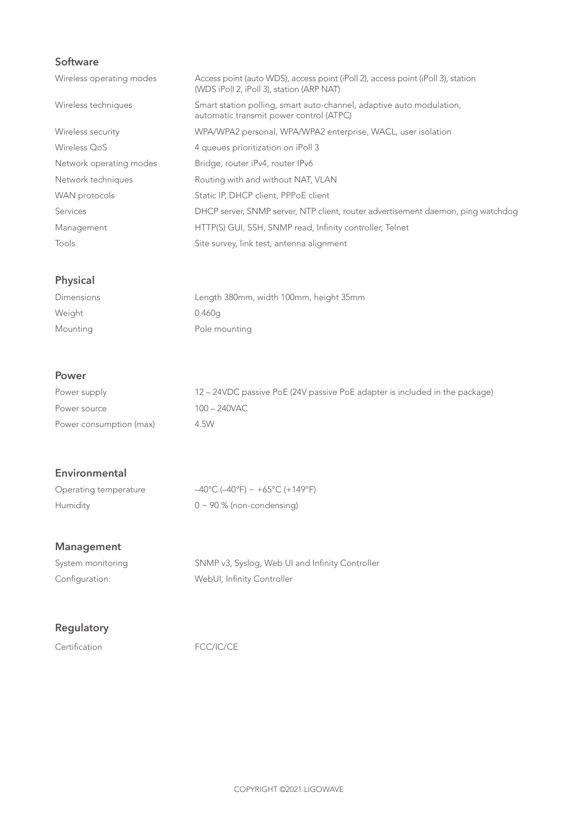## **Software**

| Wireless operating modes | Access point (auto WDS), access point (iPoll 2), access point (iPoll 3), station<br>(WDS iPoll 2, iPoll 3), station (ARP NAT) |
|--------------------------|-------------------------------------------------------------------------------------------------------------------------------|
| Wireless techniques      | Smart station polling, smart auto-channel, adaptive auto modulation,<br>automatic transmit power control (ATPC)               |
| Wireless security        | WPA/WPA2 personal, WPA/WPA2 enterprise, WACL, user isolation                                                                  |
| Wireless OoS             | 4 queues prioritization on iPoll 3                                                                                            |
| Network operating modes  | Bridge, router iPv4, router IPv6                                                                                              |
| Network techniques       | Routing with and without NAT, VLAN                                                                                            |
| WAN protocols            | Static IP, DHCP client, PPPoE client                                                                                          |
| Services                 | DHCP server, SNMP server, NTP client, router advertisement daemon, ping watchdog                                              |
| Management               | HTTP(S) GUI, SSH, SNMP read, Infinity controller, Telnet                                                                      |
| Tools                    | Site survey, link test, antenna alignment                                                                                     |

## **Physical**

| <b>Dimensions</b> | Length 380mm, width 100mm, height 35mm |
|-------------------|----------------------------------------|
| Weight            | 0.460g                                 |
| Mounting          | Pole mounting                          |

#### **Power**

| Power supply            | 12 – 24VDC passive PoE (24V passive PoE adapter is included in the package) |
|-------------------------|-----------------------------------------------------------------------------|
| Power source            | 100 – 240VAC                                                                |
| Power consumption (max) | 4.5W                                                                        |

### **Environmental**

| Operating temperature | $-40^{\circ}$ C ( $-40^{\circ}$ F) ~ +65°C (+149°F) |
|-----------------------|-----------------------------------------------------|
| Humidity              | $0 \sim 90\%$ (non-condensing)                      |

## **Management**

| System monitoring | SNMP v3, Syslog, Web UI and Infinity Controller |
|-------------------|-------------------------------------------------|
| Configuration:    | WebUI, Infinity Controller                      |

## **Regulatory**

Certification FCC/IC/CE